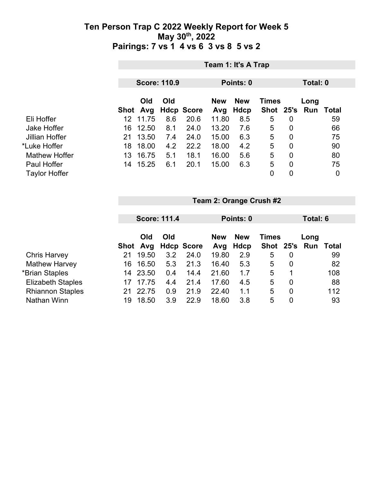|                      | Team 1: It's A Trap |                 |     |                   |                   |                    |                |                |                             |    |
|----------------------|---------------------|-----------------|-----|-------------------|-------------------|--------------------|----------------|----------------|-----------------------------|----|
|                      | <b>Score: 110.9</b> |                 |     |                   | Points: 0         |                    |                | Total: 0       |                             |    |
|                      |                     | Old<br>Shot Avg | Old | <b>Hdcp Score</b> | <b>New</b><br>Avg | <b>New</b><br>Hdcp | <b>Times</b>   |                | Long<br>Shot 25's Run Total |    |
| Eli Hoffer           | 12                  | 11.75           | 8.6 | 20.6              | 11.80             | 8.5                | 5              | 0              |                             | 59 |
| Jake Hoffer          | 16                  | 12.50           | 8.1 | 24.0              | 13.20             | 7.6                | 5              | 0              |                             | 66 |
| Jillian Hoffer       | 21                  | 13.50           | 7.4 | 24.0              | 15.00             | 6.3                | 5              | $\overline{0}$ |                             | 75 |
| *Luke Hoffer         | 18                  | 18.00           | 4.2 | 22.2              | 18.00             | 4.2                | 5              | $\overline{0}$ |                             | 90 |
| <b>Mathew Hoffer</b> | 13                  | 16.75           | 5.1 | 18.1              | 16.00             | 5.6                | 5              | 0              |                             | 80 |
| Paul Hoffer          | 14                  | 15.25           | 6.1 | 20.1              | 15.00             | 6.3                | 5              | $\overline{0}$ |                             | 75 |
| <b>Taylor Hoffer</b> |                     |                 |     |                   |                   |                    | $\overline{0}$ | 0              |                             | 0  |

|                          |    | <b>Score: 111.4</b> |     |                   |            | Points: 0  |              |                | Total: 6 |              |  |
|--------------------------|----|---------------------|-----|-------------------|------------|------------|--------------|----------------|----------|--------------|--|
|                          |    |                     |     |                   |            |            |              |                |          |              |  |
|                          |    | Old                 | Old |                   | <b>New</b> | <b>New</b> | <b>Times</b> |                | Long     |              |  |
|                          |    | Shot Avg            |     | <b>Hdcp Score</b> | Avg        | Hdcp       | Shot 25's    |                | Run      | <b>Total</b> |  |
| <b>Chris Harvey</b>      | 21 | 19.50               | 3.2 | 24.0              | 19.80      | 2.9        | 5            | 0              |          | 99           |  |
| <b>Mathew Harvey</b>     | 16 | 16.50               | 5.3 | 21.3              | 16.40      | 5.3        | 5            | $\overline{0}$ |          | 82           |  |
| *Brian Staples           | 14 | 23.50               | 0.4 | 14.4              | 21.60      | 1.7        | 5            |                |          | 108          |  |
| <b>Elizabeth Staples</b> |    | 17.75               | 4.4 | 21.4              | 17.60      | 4.5        | 5            | $\overline{0}$ |          | 88           |  |
| <b>Rhiannon Staples</b>  | 21 | 22.75               | 0.9 | 21.9              | 22.40      | 1.1        | 5            | $\overline{0}$ |          | 112          |  |
| Nathan Winn              | 19 | 18.50               | 3.9 | 22.9              | 18.60      | 3.8        | 5            | 0              |          | 93           |  |

**Team 2: Orange Crush #2**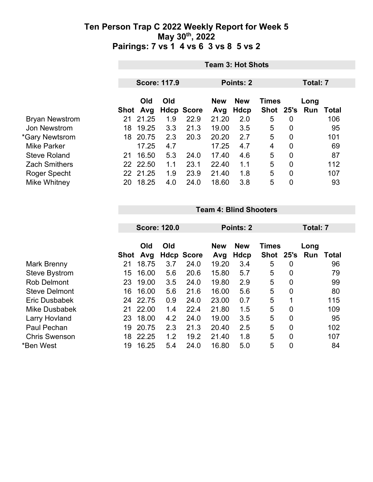|                       | <b>Team 3: Hot Shots</b> |                     |     |                           |              |             |                    |                |          |              |  |
|-----------------------|--------------------------|---------------------|-----|---------------------------|--------------|-------------|--------------------|----------------|----------|--------------|--|
|                       |                          | <b>Score: 117.9</b> |     |                           | Points: 2    |             |                    |                | Total: 7 |              |  |
|                       |                          | Old                 | Old |                           | <b>New</b>   | <b>New</b>  | <b>Times</b>       |                | Long     |              |  |
| <b>Bryan Newstrom</b> | 21                       | Shot Avg<br>21.25   | 1.9 | <b>Hdcp Score</b><br>22.9 | Avg<br>21.20 | Hdcp<br>2.0 | Shot 25's Run<br>5 | $\overline{0}$ |          | Total<br>106 |  |
| Jon Newstrom          | 18                       | 19.25               | 3.3 | 21.3                      | 19.00        | 3.5         | 5                  | $\mathbf 0$    |          | 95           |  |
| *Gary Newtsrom        | 18                       | 20.75               | 2.3 | 20.3                      | 20.20        | 2.7         | 5                  | $\mathbf 0$    |          | 101          |  |
| <b>Mike Parker</b>    |                          | 17.25               | 4.7 |                           | 17.25        | 4.7         | $\overline{4}$     | $\overline{0}$ |          | 69           |  |
| <b>Steve Roland</b>   | 21                       | 16.50               | 5.3 | 24.0                      | 17.40        | 4.6         | 5                  | $\overline{0}$ |          | 87           |  |
| <b>Zach Smithers</b>  |                          | 22 22.50            | 1.1 | 23.1                      | 22.40        | 1.1         | 5                  | $\overline{0}$ |          | 112          |  |
| Roger Specht          |                          | 22 21.25            | 1.9 | 23.9                      | 21.40        | 1.8         | 5                  | $\overline{0}$ |          | 107          |  |
| Mike Whitney          | 20                       | 18.25               | 4.0 | 24.0                      | 18.60        | 3.8         | 5                  | 0              |          | 93           |  |

#### **Team 4: Blind Shooters**

|                      | <b>Score: 120.0</b> |       |     | Points: 2         |            |            |              | Total: 7       |      |       |
|----------------------|---------------------|-------|-----|-------------------|------------|------------|--------------|----------------|------|-------|
|                      |                     | Old   | Old |                   | <b>New</b> | <b>New</b> | <b>Times</b> |                | Long |       |
|                      | Shot                | Avg   |     | <b>Hdcp Score</b> | Avg        | Hdcp       | <b>Shot</b>  | 25's           | Run  | Total |
| Mark Brenny          | 21                  | 18.75 | 3.7 | 24.0              | 19.20      | 3.4        | 5            | 0              |      | 96    |
| <b>Steve Bystrom</b> | 15                  | 16.00 | 5.6 | 20.6              | 15.80      | 5.7        | 5            | 0              |      | 79    |
| <b>Rob Delmont</b>   | 23                  | 19.00 | 3.5 | 24.0              | 19.80      | 2.9        | 5            | $\overline{0}$ |      | 99    |
| <b>Steve Delmont</b> | 16                  | 16.00 | 5.6 | 21.6              | 16.00      | 5.6        | 5            | 0              |      | 80    |
| Eric Dusbabek        | 24                  | 22.75 | 0.9 | 24.0              | 23.00      | 0.7        | 5            | 1              |      | 115   |
| <b>Mike Dusbabek</b> | 21                  | 22.00 | 1.4 | 22.4              | 21.80      | 1.5        | 5            | $\overline{0}$ |      | 109   |
| Larry Hovland        | 23                  | 18.00 | 4.2 | 24.0              | 19.00      | 3.5        | 5            | $\overline{0}$ |      | 95    |
| Paul Pechan          | 19                  | 20.75 | 2.3 | 21.3              | 20.40      | 2.5        | 5            | $\overline{0}$ |      | 102   |
| <b>Chris Swenson</b> | 18                  | 22.25 | 1.2 | 19.2              | 21.40      | 1.8        | 5            | $\overline{0}$ |      | 107   |
| *Ben West            | 19                  | 16.25 | 5.4 | 24.0              | 16.80      | 5.0        | 5            | $\overline{0}$ |      | 84    |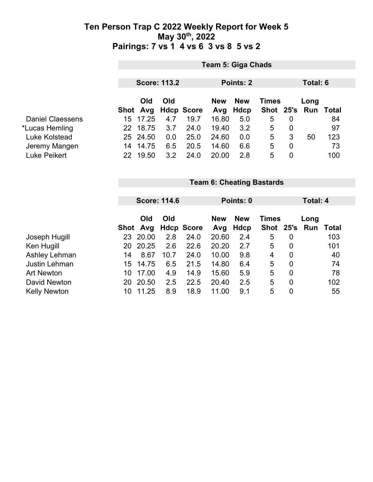|                         |                                  | <b>Team 5: Giga Chads</b>                    |     |                   |            |            |              |                |      |                  |  |
|-------------------------|----------------------------------|----------------------------------------------|-----|-------------------|------------|------------|--------------|----------------|------|------------------|--|
|                         |                                  | <b>Score: 113.2</b><br>Points: 2<br>Total: 6 |     |                   |            |            |              |                |      |                  |  |
|                         |                                  |                                              |     |                   |            |            |              |                |      |                  |  |
|                         |                                  | Old                                          | Old |                   | <b>New</b> | <b>New</b> | <b>Times</b> |                | Long |                  |  |
|                         |                                  | Shot Avg                                     |     | <b>Hdcp Score</b> | Avg        | Hdcp       | Shot 25's    |                |      | <b>Run Total</b> |  |
| <b>Daniel Claessens</b> | 15                               | 17.25                                        | 4.7 | 19.7              | 16.80      | 5.0        | 5            | $\mathbf 0$    |      | 84               |  |
| *Lucas Hemling          |                                  | 22 18.75                                     | 3.7 | 24.0              | 19.40      | 3.2        | 5            | $\mathbf 0$    |      | 97               |  |
| Luke Kolstead           |                                  | 25 24.50                                     | 0.0 | 25.0              | 24.60      | 0.0        | 5            | 3              | 50   | 123              |  |
| Jeremy Mangen           | 14                               | 14.75                                        | 6.5 | 20.5              | 14.60      | 6.6        | 5            | $\mathbf 0$    |      | 73               |  |
| Luke Peikert            |                                  | 22 19.50                                     | 3.2 | 24.0              | 20.00      | 2.8        | 5            | $\overline{0}$ |      | 100              |  |
|                         |                                  |                                              |     |                   |            |            |              |                |      |                  |  |
|                         | <b>Team 6: Cheating Bastards</b> |                                              |     |                   |            |            |              |                |      |                  |  |

|                     | <b>Score: 114.6</b> |                 |      | Points: 0         |                   |                    |                           | Total: 4       |             |       |
|---------------------|---------------------|-----------------|------|-------------------|-------------------|--------------------|---------------------------|----------------|-------------|-------|
|                     |                     | Old<br>Shot Avg | Old  | <b>Hdcp Score</b> | <b>New</b><br>Avg | <b>New</b><br>Hdcp | <b>Times</b><br>Shot 25's |                | Long<br>Run | Total |
| Joseph Hugill       | 23.                 | 20.00           | 2.8  | 24.0              | 20.60             | 2.4                | 5                         | 0              |             | 103   |
| Ken Hugill          | 20.                 | 20.25           | 2.6  | 22.6              | 20.20             | 2.7                | 5                         | $\overline{0}$ |             | 101   |
| Ashley Lehman       | 14                  | 8.67            | 10.7 | 24.0              | 10.00             | 9.8                | 4                         | $\mathbf 0$    |             | 40    |
| Justin Lehman       | 15                  | 14.75           | 6.5  | 21.5              | 14.80             | 6.4                | 5                         | $\overline{0}$ |             | 74    |
| <b>Art Newton</b>   | 10                  | 17.00           | 4.9  | 14.9              | 15.60             | 5.9                | 5                         | $\overline{0}$ |             | 78    |
| David Newton        | 20.                 | 20.50           | 2.5  | 22.5              | 20.40             | 2.5                | 5                         | $\overline{0}$ |             | 102   |
| <b>Kelly Newton</b> | 10                  | 11.25           | 8.9  | 18.9              | 11.00             | 9.1                | 5                         | 0              |             | 55    |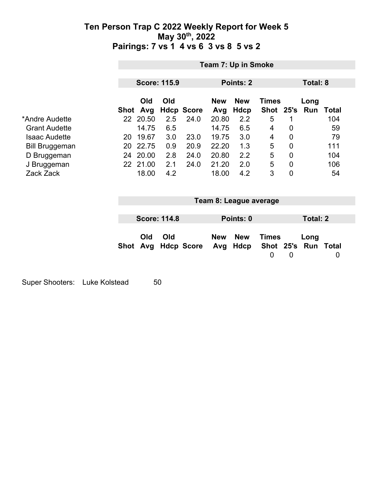|                       |                    | Team 7: Up in Smoke |                   |                        |                           |                             |                 |                             |              |
|-----------------------|--------------------|---------------------|-------------------|------------------------|---------------------------|-----------------------------|-----------------|-----------------------------|--------------|
|                       |                    | <b>Score: 115.9</b> |                   |                        | Points: 2                 |                             |                 | Total: 8                    |              |
|                       | Old<br>Shot Avg    | Old                 | <b>Hdcp Score</b> | <b>New</b><br>Avg      | <b>New</b><br><b>Hdcp</b> | <b>Times</b><br>Shot 25's   |                 | Long<br>Run                 | <b>Total</b> |
| *Andre Audette        | 22 20.50           | 2.5                 | 24.0              | 20.80                  | 2.2                       | 5                           | 1               |                             | 104          |
| <b>Grant Audette</b>  | 14.75              | 6.5                 |                   | 14.75                  | 6.5                       | 4                           | 0               |                             | 59           |
| <b>Isaac Audette</b>  | 19.67<br>20        | 3.0                 | 23.0              | 19.75                  | 3.0                       | 4                           | 0               |                             | 79           |
| <b>Bill Bruggeman</b> | 22.75<br>20        | 0.9                 | 20.9              | 22.20                  | 1.3                       | 5                           | 0               |                             | 111          |
| D Bruggeman           | 24 20.00           | 2.8                 | 24.0              | 20.80                  | 2.2                       | 5                           | $\mathbf 0$     |                             | 104          |
| J Bruggeman           | 22 21.00           | 2.1                 | 24.0              | 21.20                  | 2.0                       | 5                           | 0               |                             | 106          |
| Zack Zack             | 18.00              | 4.2                 |                   | 18.00                  | 4.2                       | 3                           | $\overline{0}$  |                             | 54           |
|                       |                    |                     |                   | Team 8: League average |                           |                             |                 |                             |              |
|                       |                    | <b>Score: 114.8</b> |                   |                        | Points: 0                 |                             | <b>Total: 2</b> |                             |              |
|                       | Old<br>Avg<br>Shot | Old                 | <b>Hdcp Score</b> | <b>New</b><br>Avg      | <b>New</b><br>Hdcp        | <b>Times</b><br>$\mathbf 0$ | $\mathbf 0$     | Long<br>Shot 25's Run Total | 0            |

Super Shooters: Luke Kolstead 50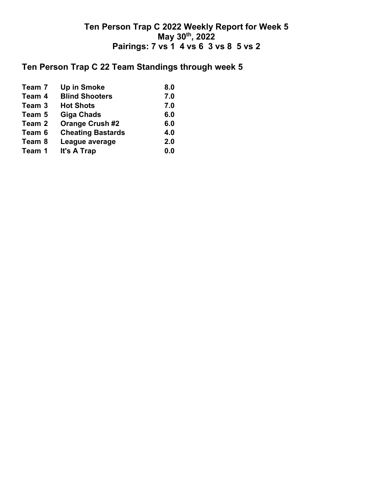### **Ten Person Trap C 22 Team Standings through week 5**

| Team 7 | <b>Up in Smoke</b>       | 8.0 |
|--------|--------------------------|-----|
| Team 4 | <b>Blind Shooters</b>    | 7.0 |
| Team 3 | <b>Hot Shots</b>         | 7.0 |
| Team 5 | Giga Chads               | 6.0 |
| Team 2 | <b>Orange Crush #2</b>   | 6.0 |
| Team 6 | <b>Cheating Bastards</b> | 4.0 |
| Team 8 | League average           | 2.0 |
| Team 1 | It's A Trap              | 0.0 |
|        |                          |     |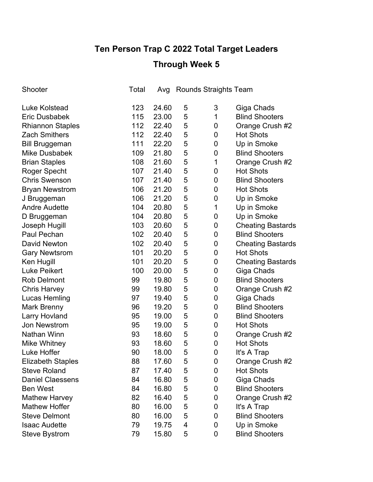# **Ten Person Trap C 2022 Total Target Leaders**

## **Through Week 5**

| Shooter                  | Total | Avg   |   | <b>Rounds Straights Team</b> |                          |
|--------------------------|-------|-------|---|------------------------------|--------------------------|
| <b>Luke Kolstead</b>     | 123   | 24.60 | 5 | 3                            | Giga Chads               |
| <b>Eric Dusbabek</b>     | 115   | 23.00 | 5 | $\mathbf{1}$                 | <b>Blind Shooters</b>    |
| <b>Rhiannon Staples</b>  | 112   | 22.40 | 5 | 0                            | Orange Crush #2          |
| <b>Zach Smithers</b>     | 112   | 22.40 | 5 | 0                            | <b>Hot Shots</b>         |
| <b>Bill Bruggeman</b>    | 111   | 22.20 | 5 | 0                            | Up in Smoke              |
| <b>Mike Dusbabek</b>     | 109   | 21.80 | 5 | 0                            | <b>Blind Shooters</b>    |
| <b>Brian Staples</b>     | 108   | 21.60 | 5 | 1                            | Orange Crush #2          |
| Roger Specht             | 107   | 21.40 | 5 | 0                            | <b>Hot Shots</b>         |
| <b>Chris Swenson</b>     | 107   | 21.40 | 5 | 0                            | <b>Blind Shooters</b>    |
| <b>Bryan Newstrom</b>    | 106   | 21.20 | 5 | 0                            | <b>Hot Shots</b>         |
| J Bruggeman              | 106   | 21.20 | 5 | $\mathbf 0$                  | Up in Smoke              |
| <b>Andre Audette</b>     | 104   | 20.80 | 5 | 1                            | Up in Smoke              |
| D Bruggeman              | 104   | 20.80 | 5 | 0                            | Up in Smoke              |
| Joseph Hugill            | 103   | 20.60 | 5 | $\mathbf 0$                  | <b>Cheating Bastards</b> |
| Paul Pechan              | 102   | 20.40 | 5 | $\mathbf 0$                  | <b>Blind Shooters</b>    |
| <b>David Newton</b>      | 102   | 20.40 | 5 | $\mathbf 0$                  | <b>Cheating Bastards</b> |
| <b>Gary Newtsrom</b>     | 101   | 20.20 | 5 | $\mathbf 0$                  | <b>Hot Shots</b>         |
| Ken Hugill               | 101   | 20.20 | 5 | 0                            | <b>Cheating Bastards</b> |
| <b>Luke Peikert</b>      | 100   | 20.00 | 5 | $\mathbf 0$                  | Giga Chads               |
| <b>Rob Delmont</b>       | 99    | 19.80 | 5 | $\mathbf 0$                  | <b>Blind Shooters</b>    |
| <b>Chris Harvey</b>      | 99    | 19.80 | 5 | 0                            | Orange Crush #2          |
| Lucas Hemling            | 97    | 19.40 | 5 | $\mathbf 0$                  | Giga Chads               |
| <b>Mark Brenny</b>       | 96    | 19.20 | 5 | $\mathbf 0$                  | <b>Blind Shooters</b>    |
| Larry Hovland            | 95    | 19.00 | 5 | 0                            | <b>Blind Shooters</b>    |
| <b>Jon Newstrom</b>      | 95    | 19.00 | 5 | 0                            | <b>Hot Shots</b>         |
| Nathan Winn              | 93    | 18.60 | 5 | 0                            | Orange Crush #2          |
| <b>Mike Whitney</b>      | 93    | 18.60 | 5 | 0                            | <b>Hot Shots</b>         |
| Luke Hoffer              | 90    | 18.00 | 5 | 0                            | It's A Trap              |
| <b>Elizabeth Staples</b> | 88    | 17.60 | 5 | $\mathbf 0$                  | Orange Crush #2          |
| <b>Steve Roland</b>      | 87    | 17.40 | 5 | 0                            | <b>Hot Shots</b>         |
| <b>Daniel Claessens</b>  | 84    | 16.80 | 5 | 0                            | Giga Chads               |
| <b>Ben West</b>          | 84    | 16.80 | 5 | 0                            | <b>Blind Shooters</b>    |
| <b>Mathew Harvey</b>     | 82    | 16.40 | 5 | 0                            | Orange Crush #2          |
| <b>Mathew Hoffer</b>     | 80    | 16.00 | 5 | 0                            | It's A Trap              |
| <b>Steve Delmont</b>     | 80    | 16.00 | 5 | 0                            | <b>Blind Shooters</b>    |
| <b>Isaac Audette</b>     | 79    | 19.75 | 4 | 0                            | Up in Smoke              |
| <b>Steve Bystrom</b>     | 79    | 15.80 | 5 | 0                            | <b>Blind Shooters</b>    |